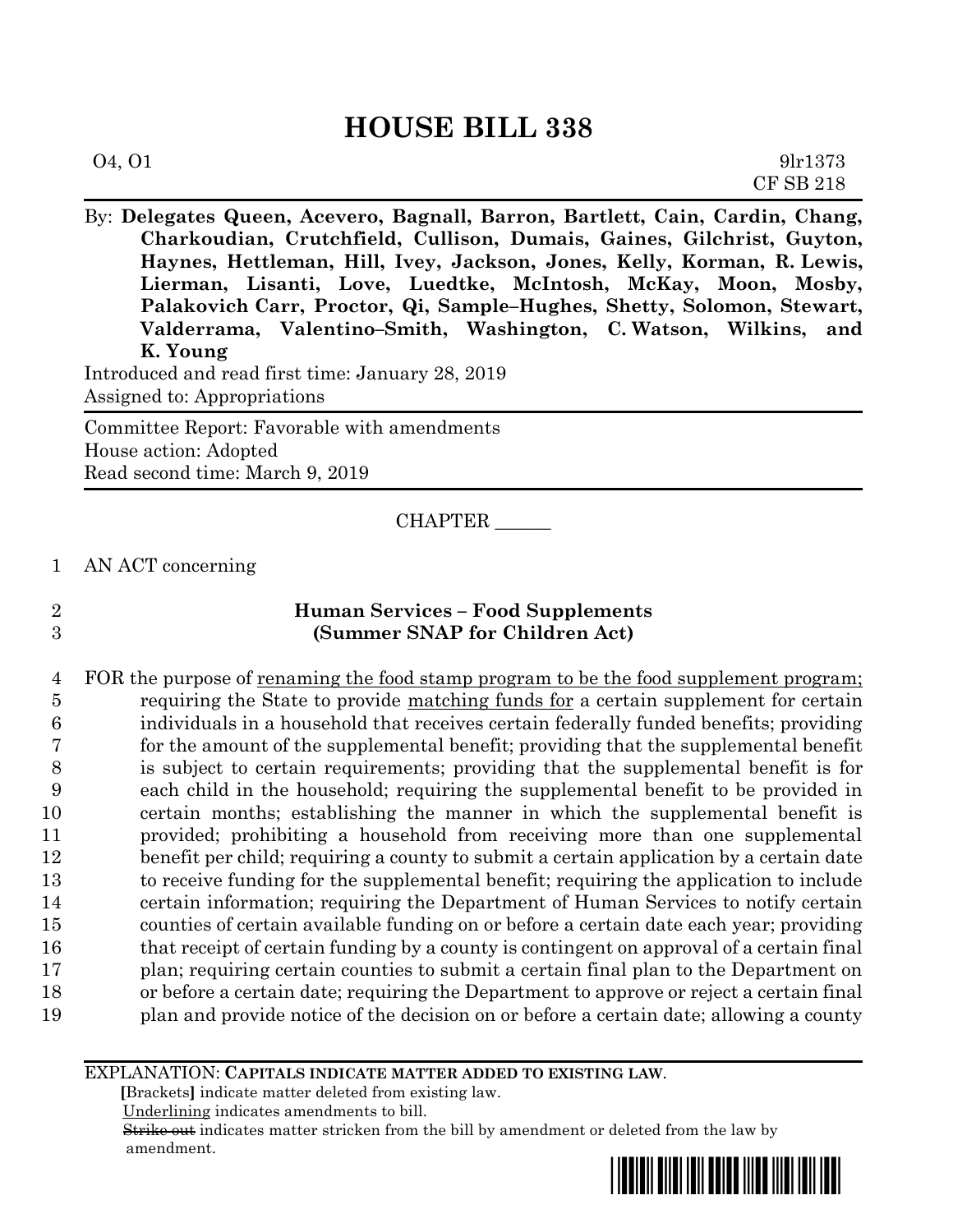# **HOUSE BILL 338**

| 04, 01 | 9lr1373   |
|--------|-----------|
|        | CF SB 218 |

By: **Delegates Queen, Acevero, Bagnall, Barron, Bartlett, Cain, Cardin, Chang, Charkoudian, Crutchfield, Cullison, Dumais, Gaines, Gilchrist, Guyton, Haynes, Hettleman, Hill, Ivey, Jackson, Jones, Kelly, Korman, R. Lewis, Lierman, Lisanti, Love, Luedtke, McIntosh, McKay, Moon, Mosby, Palakovich Carr, Proctor, Qi, Sample–Hughes, Shetty, Solomon, Stewart, Valderrama, Valentino–Smith, Washington, C. Watson, Wilkins, and K. Young**

Introduced and read first time: January 28, 2019 Assigned to: Appropriations

Committee Report: Favorable with amendments House action: Adopted Read second time: March 9, 2019

CHAPTER \_\_\_\_\_\_

1 AN ACT concerning

## 2 **Human Services – Food Supplements** 3 **(Summer SNAP for Children Act)**

4 FOR the purpose of <u>renaming the food stamp program to be the food supplement program;</u> requiring the State to provide matching funds for a certain supplement for certain individuals in a household that receives certain federally funded benefits; providing for the amount of the supplemental benefit; providing that the supplemental benefit is subject to certain requirements; providing that the supplemental benefit is for each child in the household; requiring the supplemental benefit to be provided in certain months; establishing the manner in which the supplemental benefit is provided; prohibiting a household from receiving more than one supplemental benefit per child; requiring a county to submit a certain application by a certain date to receive funding for the supplemental benefit; requiring the application to include certain information; requiring the Department of Human Services to notify certain counties of certain available funding on or before a certain date each year; providing 16 that receipt of certain funding by a county is contingent on approval of a certain final plan; requiring certain counties to submit a certain final plan to the Department on or before a certain date; requiring the Department to approve or reject a certain final plan and provide notice of the decision on or before a certain date; allowing a county

EXPLANATION: **CAPITALS INDICATE MATTER ADDED TO EXISTING LAW**.

 **[**Brackets**]** indicate matter deleted from existing law.

Underlining indicates amendments to bill.

 Strike out indicates matter stricken from the bill by amendment or deleted from the law by amendment.

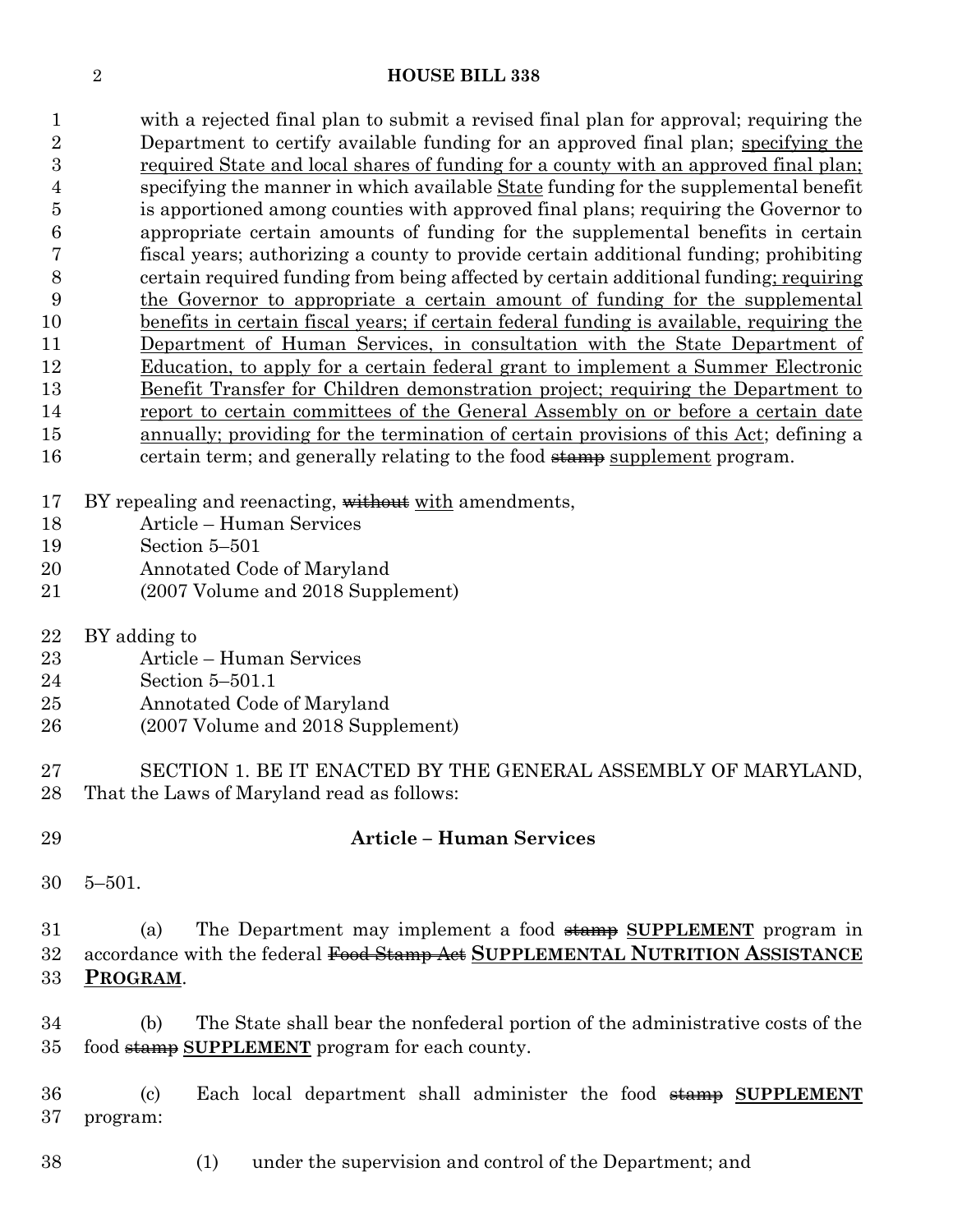#### **HOUSE BILL 338**

 with a rejected final plan to submit a revised final plan for approval; requiring the Department to certify available funding for an approved final plan; specifying the required State and local shares of funding for a county with an approved final plan; specifying the manner in which available State funding for the supplemental benefit is apportioned among counties with approved final plans; requiring the Governor to appropriate certain amounts of funding for the supplemental benefits in certain fiscal years; authorizing a county to provide certain additional funding; prohibiting certain required funding from being affected by certain additional funding; requiring the Governor to appropriate a certain amount of funding for the supplemental benefits in certain fiscal years; if certain federal funding is available, requiring the Department of Human Services, in consultation with the State Department of Education, to apply for a certain federal grant to implement a Summer Electronic Benefit Transfer for Children demonstration project; requiring the Department to 14 report to certain committees of the General Assembly on or before a certain date annually; providing for the termination of certain provisions of this Act; defining a 16 certain term; and generally relating to the food stamp supplement program.

- 17 BY repealing and reenacting, without with amendments,
- Article Human Services
- Section 5–501
- Annotated Code of Maryland
- (2007 Volume and 2018 Supplement)
- BY adding to
- Article Human Services
- Section 5–501.1
- Annotated Code of Maryland
- (2007 Volume and 2018 Supplement)
- SECTION 1. BE IT ENACTED BY THE GENERAL ASSEMBLY OF MARYLAND, That the Laws of Maryland read as follows:
- **Article – Human Services** 5–501. (a) The Department may implement a food stamp **SUPPLEMENT** program in accordance with the federal Food Stamp Act **SUPPLEMENTAL NUTRITION ASSISTANCE PROGRAM**. (b) The State shall bear the nonfederal portion of the administrative costs of the food stamp **SUPPLEMENT** program for each county. (c) Each local department shall administer the food stamp **SUPPLEMENT** program:
	- (1) under the supervision and control of the Department; and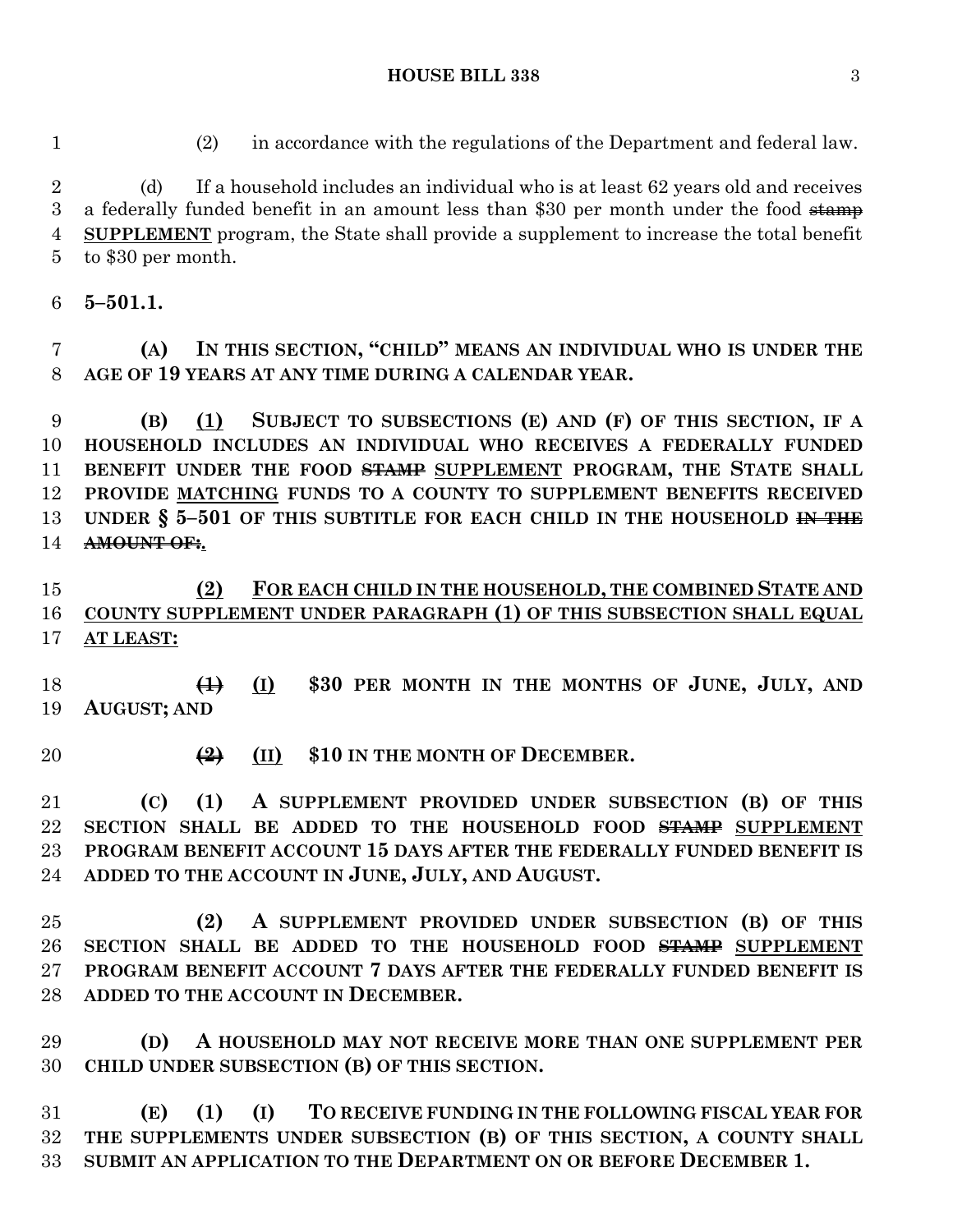(d) If a household includes an individual who is at least 62 years old and receives 3 a federally funded benefit in an amount less than \$30 per month under the food  $\frac{1}{2}$  **SUPPLEMENT** program, the State shall provide a supplement to increase the total benefit to \$30 per month.

(2) in accordance with the regulations of the Department and federal law.

**5–501.1.**

 **(A) IN THIS SECTION, "CHILD" MEANS AN INDIVIDUAL WHO IS UNDER THE AGE OF 19 YEARS AT ANY TIME DURING A CALENDAR YEAR.**

 **(B) (1) SUBJECT TO SUBSECTIONS (E) AND (F) OF THIS SECTION, IF A HOUSEHOLD INCLUDES AN INDIVIDUAL WHO RECEIVES A FEDERALLY FUNDED BENEFIT UNDER THE FOOD STAMP SUPPLEMENT PROGRAM, THE STATE SHALL PROVIDE MATCHING FUNDS TO A COUNTY TO SUPPLEMENT BENEFITS RECEIVED UNDER § 5–501 OF THIS SUBTITLE FOR EACH CHILD IN THE HOUSEHOLD IN THE AMOUNT OF:.**

 **(2) FOR EACH CHILD IN THE HOUSEHOLD, THE COMBINED STATE AND COUNTY SUPPLEMENT UNDER PARAGRAPH (1) OF THIS SUBSECTION SHALL EQUAL AT LEAST:**

 **(1) (I) \$30 PER MONTH IN THE MONTHS OF JUNE, JULY, AND AUGUST; AND**

**(2) (II) \$10 IN THE MONTH OF DECEMBER.**

 **(C) (1) A SUPPLEMENT PROVIDED UNDER SUBSECTION (B) OF THIS SECTION SHALL BE ADDED TO THE HOUSEHOLD FOOD STAMP SUPPLEMENT PROGRAM BENEFIT ACCOUNT 15 DAYS AFTER THE FEDERALLY FUNDED BENEFIT IS ADDED TO THE ACCOUNT IN JUNE, JULY, AND AUGUST.**

 **(2) A SUPPLEMENT PROVIDED UNDER SUBSECTION (B) OF THIS SECTION SHALL BE ADDED TO THE HOUSEHOLD FOOD STAMP SUPPLEMENT PROGRAM BENEFIT ACCOUNT 7 DAYS AFTER THE FEDERALLY FUNDED BENEFIT IS ADDED TO THE ACCOUNT IN DECEMBER.**

 **(D) A HOUSEHOLD MAY NOT RECEIVE MORE THAN ONE SUPPLEMENT PER CHILD UNDER SUBSECTION (B) OF THIS SECTION.**

 **(E) (1) (I) TO RECEIVE FUNDING IN THE FOLLOWING FISCAL YEAR FOR THE SUPPLEMENTS UNDER SUBSECTION (B) OF THIS SECTION, A COUNTY SHALL SUBMIT AN APPLICATION TO THE DEPARTMENT ON OR BEFORE DECEMBER 1.**

# **HOUSE BILL 338** 3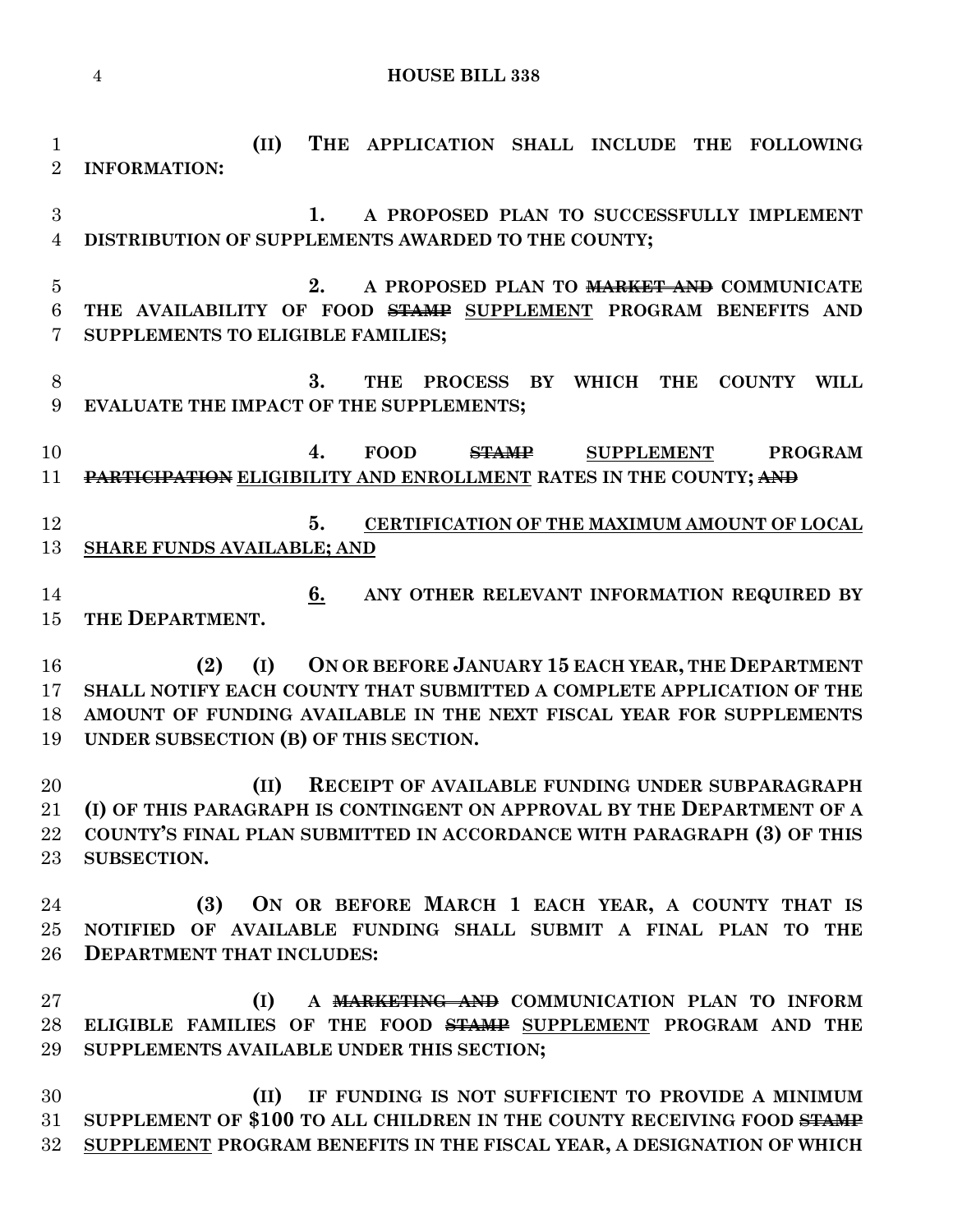**HOUSE BILL 338**

 **(II) THE APPLICATION SHALL INCLUDE THE FOLLOWING INFORMATION: 1. A PROPOSED PLAN TO SUCCESSFULLY IMPLEMENT DISTRIBUTION OF SUPPLEMENTS AWARDED TO THE COUNTY; 2. A PROPOSED PLAN TO MARKET AND COMMUNICATE THE AVAILABILITY OF FOOD STAMP SUPPLEMENT PROGRAM BENEFITS AND SUPPLEMENTS TO ELIGIBLE FAMILIES; 3. THE PROCESS BY WHICH THE COUNTY WILL EVALUATE THE IMPACT OF THE SUPPLEMENTS; 4. FOOD STAMP SUPPLEMENT PROGRAM PARTICIPATION ELIGIBILITY AND ENROLLMENT RATES IN THE COUNTY; AND 5. CERTIFICATION OF THE MAXIMUM AMOUNT OF LOCAL SHARE FUNDS AVAILABLE; AND 6. ANY OTHER RELEVANT INFORMATION REQUIRED BY THE DEPARTMENT. (2) (I) ON OR BEFORE JANUARY 15 EACH YEAR, THE DEPARTMENT SHALL NOTIFY EACH COUNTY THAT SUBMITTED A COMPLETE APPLICATION OF THE AMOUNT OF FUNDING AVAILABLE IN THE NEXT FISCAL YEAR FOR SUPPLEMENTS UNDER SUBSECTION (B) OF THIS SECTION. (II) RECEIPT OF AVAILABLE FUNDING UNDER SUBPARAGRAPH (I) OF THIS PARAGRAPH IS CONTINGENT ON APPROVAL BY THE DEPARTMENT OF A COUNTY'S FINAL PLAN SUBMITTED IN ACCORDANCE WITH PARAGRAPH (3) OF THIS SUBSECTION. (3) ON OR BEFORE MARCH 1 EACH YEAR, A COUNTY THAT IS NOTIFIED OF AVAILABLE FUNDING SHALL SUBMIT A FINAL PLAN TO THE DEPARTMENT THAT INCLUDES: (I) A MARKETING AND COMMUNICATION PLAN TO INFORM ELIGIBLE FAMILIES OF THE FOOD STAMP SUPPLEMENT PROGRAM AND THE SUPPLEMENTS AVAILABLE UNDER THIS SECTION; (II) IF FUNDING IS NOT SUFFICIENT TO PROVIDE A MINIMUM SUPPLEMENT OF \$100 TO ALL CHILDREN IN THE COUNTY RECEIVING FOOD STAMP SUPPLEMENT PROGRAM BENEFITS IN THE FISCAL YEAR, A DESIGNATION OF WHICH**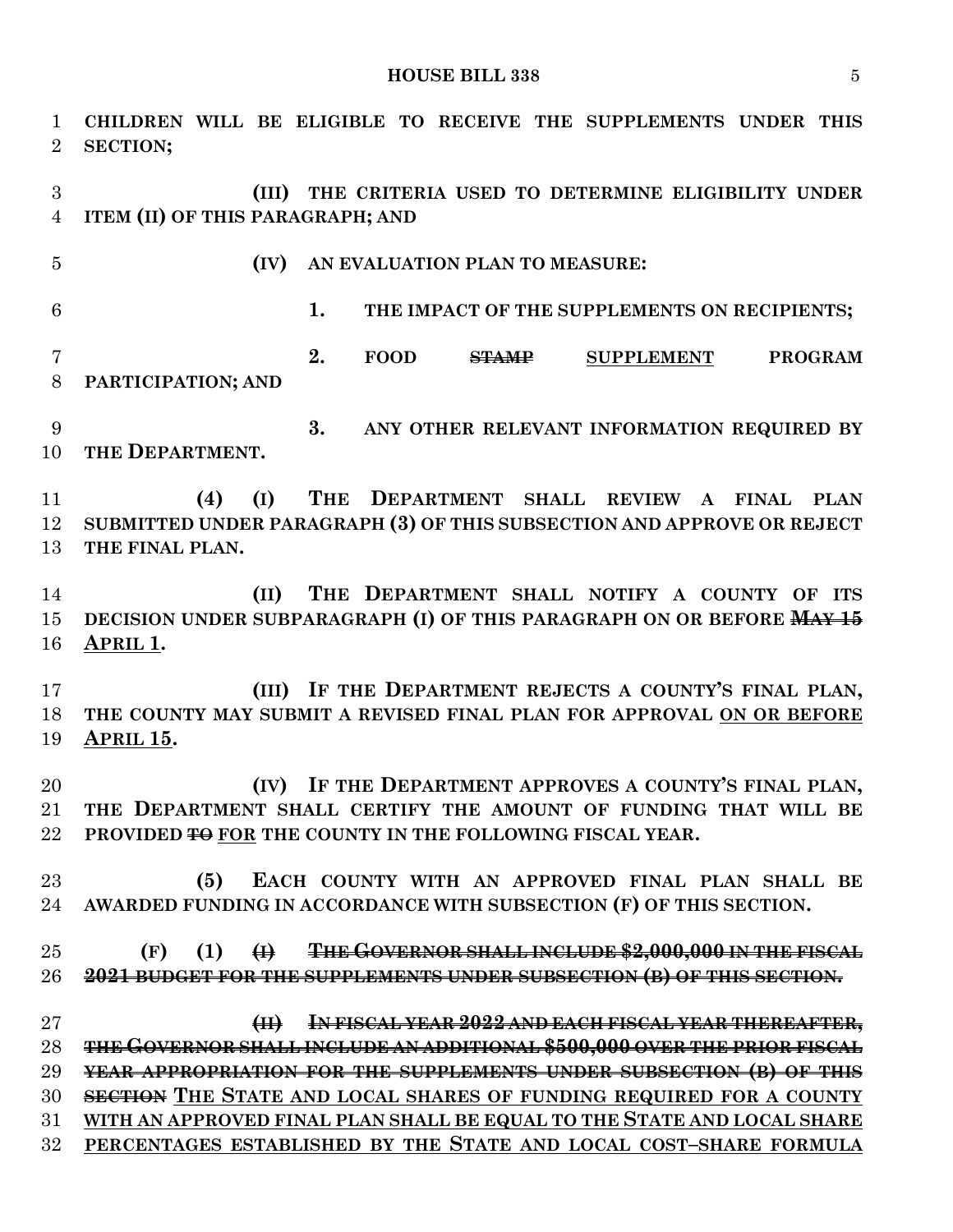**CHILDREN WILL BE ELIGIBLE TO RECEIVE THE SUPPLEMENTS UNDER THIS SECTION; (III) THE CRITERIA USED TO DETERMINE ELIGIBILITY UNDER ITEM (II) OF THIS PARAGRAPH; AND (IV) AN EVALUATION PLAN TO MEASURE: 1. THE IMPACT OF THE SUPPLEMENTS ON RECIPIENTS; 2. FOOD STAMP SUPPLEMENT PROGRAM PARTICIPATION; AND 3. ANY OTHER RELEVANT INFORMATION REQUIRED BY**  10 THE **DEPARTMENT**. **(4) (I) THE DEPARTMENT SHALL REVIEW A FINAL PLAN SUBMITTED UNDER PARAGRAPH (3) OF THIS SUBSECTION AND APPROVE OR REJECT THE FINAL PLAN. (II) THE DEPARTMENT SHALL NOTIFY A COUNTY OF ITS DECISION UNDER SUBPARAGRAPH (I) OF THIS PARAGRAPH ON OR BEFORE MAY 15 APRIL 1. (III) IF THE DEPARTMENT REJECTS A COUNTY'S FINAL PLAN, THE COUNTY MAY SUBMIT A REVISED FINAL PLAN FOR APPROVAL ON OR BEFORE APRIL 15. (IV) IF THE DEPARTMENT APPROVES A COUNTY'S FINAL PLAN, THE DEPARTMENT SHALL CERTIFY THE AMOUNT OF FUNDING THAT WILL BE 22 PROVIDED <del>TO</del>** FOR THE COUNTY IN THE FOLLOWING FISCAL YEAR. **(5) EACH COUNTY WITH AN APPROVED FINAL PLAN SHALL BE AWARDED FUNDING IN ACCORDANCE WITH SUBSECTION (F) OF THIS SECTION. (F) (1) (I) THE GOVERNOR SHALL INCLUDE \$2,000,000 IN THE FISCAL 2021 BUDGET FOR THE SUPPLEMENTS UNDER SUBSECTION (B) OF THIS SECTION. (II) IN FISCAL YEAR 2022 AND EACH FISCAL YEAR THEREAFTER, THE GOVERNOR SHALL INCLUDE AN ADDITIONAL \$500,000 OVER THE PRIOR FISCAL YEAR APPROPRIATION FOR THE SUPPLEMENTS UNDER SUBSECTION (B) OF THIS SECTION THE STATE AND LOCAL SHARES OF FUNDING REQUIRED FOR A COUNTY WITH AN APPROVED FINAL PLAN SHALL BE EQUAL TO THE STATE AND LOCAL SHARE PERCENTAGES ESTABLISHED BY THE STATE AND LOCAL COST–SHARE FORMULA**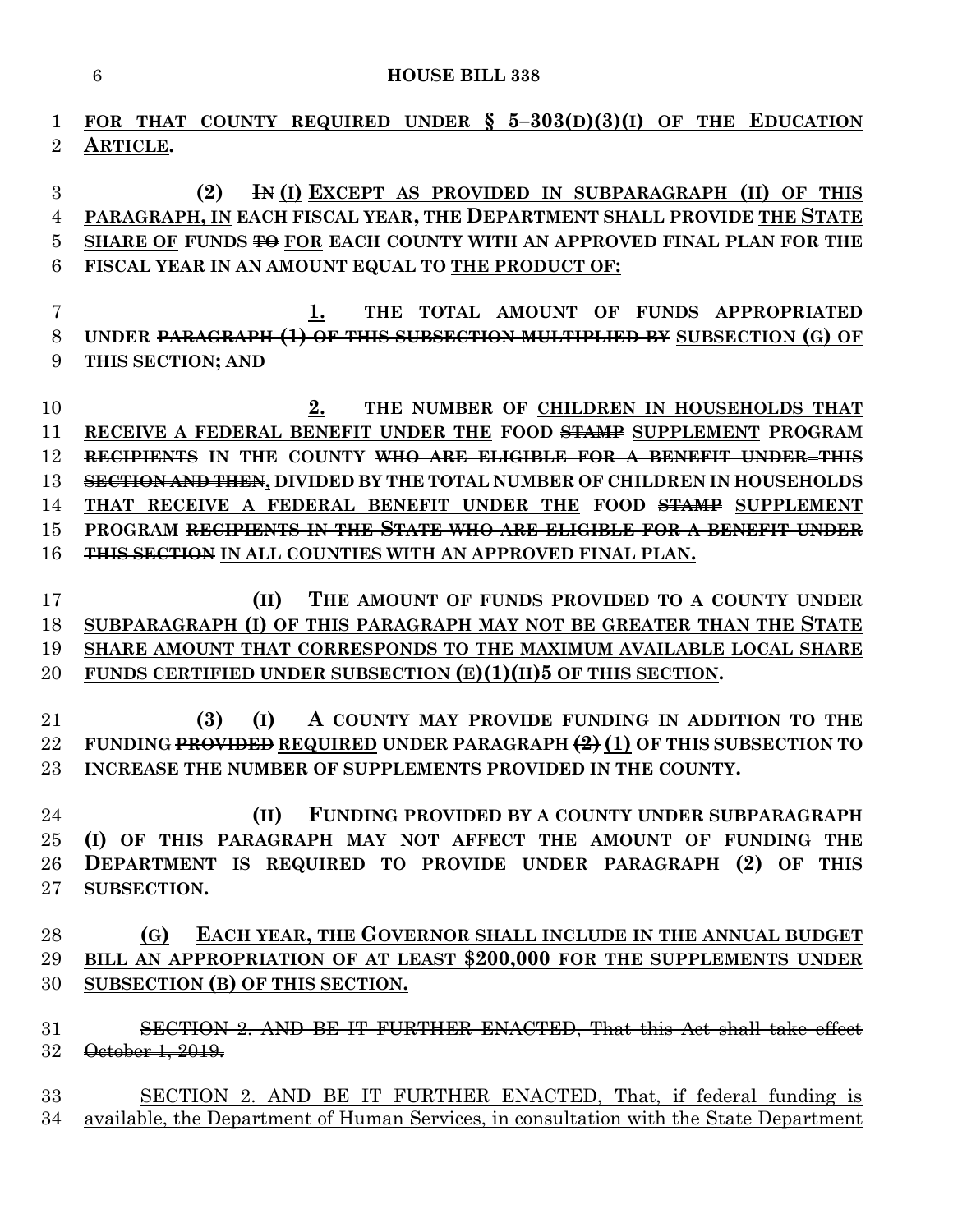**FOR THAT COUNTY REQUIRED UNDER § 5–303(D)(3)(I) OF THE EDUCATION ARTICLE.**

 **(2) IN (I) EXCEPT AS PROVIDED IN SUBPARAGRAPH (II) OF THIS PARAGRAPH, IN EACH FISCAL YEAR, THE DEPARTMENT SHALL PROVIDE THE STATE SHARE OF FUNDS TO FOR EACH COUNTY WITH AN APPROVED FINAL PLAN FOR THE FISCAL YEAR IN AN AMOUNT EQUAL TO THE PRODUCT OF:**

 **1. THE TOTAL AMOUNT OF FUNDS APPROPRIATED UNDER PARAGRAPH (1) OF THIS SUBSECTION MULTIPLIED BY SUBSECTION (G) OF THIS SECTION; AND**

**2. THE NUMBER OF CHILDREN IN HOUSEHOLDS THAT RECEIVE A FEDERAL BENEFIT UNDER THE FOOD STAMP SUPPLEMENT PROGRAM RECIPIENTS IN THE COUNTY WHO ARE ELIGIBLE FOR A BENEFIT UNDER THIS SECTION AND THEN, DIVIDED BY THE TOTAL NUMBER OF CHILDREN IN HOUSEHOLDS THAT RECEIVE A FEDERAL BENEFIT UNDER THE FOOD STAMP SUPPLEMENT PROGRAM RECIPIENTS IN THE STATE WHO ARE ELIGIBLE FOR A BENEFIT UNDER THIS SECTION IN ALL COUNTIES WITH AN APPROVED FINAL PLAN.**

 **(II) THE AMOUNT OF FUNDS PROVIDED TO A COUNTY UNDER SUBPARAGRAPH (I) OF THIS PARAGRAPH MAY NOT BE GREATER THAN THE STATE SHARE AMOUNT THAT CORRESPONDS TO THE MAXIMUM AVAILABLE LOCAL SHARE FUNDS CERTIFIED UNDER SUBSECTION (E)(1)(II)5 OF THIS SECTION.**

 **(3) (I) A COUNTY MAY PROVIDE FUNDING IN ADDITION TO THE FUNDING PROVIDED REQUIRED UNDER PARAGRAPH (2) (1) OF THIS SUBSECTION TO INCREASE THE NUMBER OF SUPPLEMENTS PROVIDED IN THE COUNTY.**

 **(II) FUNDING PROVIDED BY A COUNTY UNDER SUBPARAGRAPH (I) OF THIS PARAGRAPH MAY NOT AFFECT THE AMOUNT OF FUNDING THE DEPARTMENT IS REQUIRED TO PROVIDE UNDER PARAGRAPH (2) OF THIS SUBSECTION.**

 **(G) EACH YEAR, THE GOVERNOR SHALL INCLUDE IN THE ANNUAL BUDGET BILL AN APPROPRIATION OF AT LEAST \$200,000 FOR THE SUPPLEMENTS UNDER SUBSECTION (B) OF THIS SECTION.**

 SECTION 2. AND BE IT FURTHER ENACTED, That this Act shall take effect October 1, 2019.

 SECTION 2. AND BE IT FURTHER ENACTED, That, if federal funding is available, the Department of Human Services, in consultation with the State Department